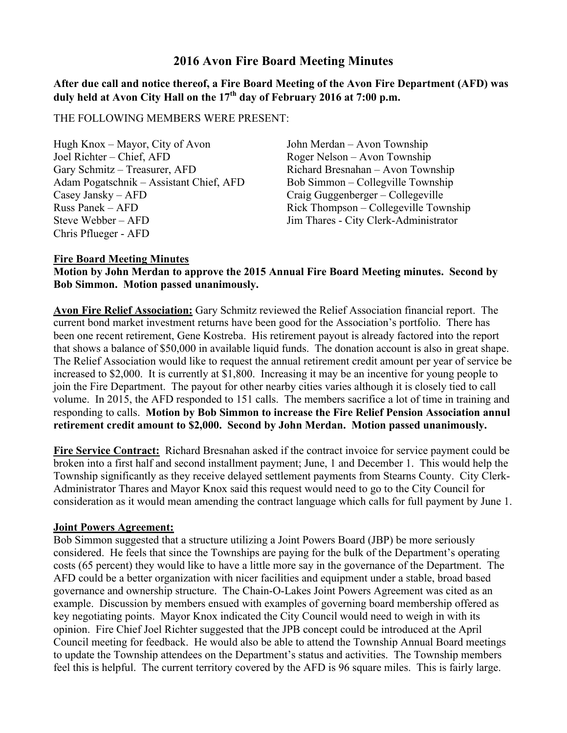# **2016 Avon Fire Board Meeting Minutes**

**After due call and notice thereof, a Fire Board Meeting of the Avon Fire Department (AFD) was**  duly held at Avon City Hall on the 17<sup>th</sup> day of February 2016 at 7:00 p.m.

THE FOLLOWING MEMBERS WERE PRESENT:

Hugh Knox – Mayor, City of Avon John Merdan – Avon Township Joel Richter – Chief, AFD Roger Nelson – Avon Township Gary Schmitz – Treasurer, AFD Richard Bresnahan – Avon Township Adam Pogatschnik – Assistant Chief, AFD Bob Simmon – Collegville Township Casey Jansky – AFD Craig Guggenberger – Collegeville Russ Panek – AFD Rick Thompson – Collegeville Township Steve Webber – AFD Jim Thares - City Clerk-Administrator Chris Pflueger - AFD

#### **Fire Board Meeting Minutes**

**Motion by John Merdan to approve the 2015 Annual Fire Board Meeting minutes. Second by Bob Simmon. Motion passed unanimously.** 

**Avon Fire Relief Association:** Gary Schmitz reviewed the Relief Association financial report. The current bond market investment returns have been good for the Association's portfolio. There has been one recent retirement, Gene Kostreba. His retirement payout is already factored into the report that shows a balance of \$50,000 in available liquid funds. The donation account is also in great shape. The Relief Association would like to request the annual retirement credit amount per year of service be increased to \$2,000. It is currently at \$1,800. Increasing it may be an incentive for young people to join the Fire Department. The payout for other nearby cities varies although it is closely tied to call volume. In 2015, the AFD responded to 151 calls. The members sacrifice a lot of time in training and responding to calls. **Motion by Bob Simmon to increase the Fire Relief Pension Association annul retirement credit amount to \$2,000. Second by John Merdan. Motion passed unanimously.** 

**Fire Service Contract:** Richard Bresnahan asked if the contract invoice for service payment could be broken into a first half and second installment payment; June, 1 and December 1. This would help the Township significantly as they receive delayed settlement payments from Stearns County. City Clerk-Administrator Thares and Mayor Knox said this request would need to go to the City Council for consideration as it would mean amending the contract language which calls for full payment by June 1.

## **Joint Powers Agreement:**

Bob Simmon suggested that a structure utilizing a Joint Powers Board (JBP) be more seriously considered. He feels that since the Townships are paying for the bulk of the Department's operating costs (65 percent) they would like to have a little more say in the governance of the Department. The AFD could be a better organization with nicer facilities and equipment under a stable, broad based governance and ownership structure. The Chain-O-Lakes Joint Powers Agreement was cited as an example. Discussion by members ensued with examples of governing board membership offered as key negotiating points. Mayor Knox indicated the City Council would need to weigh in with its opinion. Fire Chief Joel Richter suggested that the JPB concept could be introduced at the April Council meeting for feedback. He would also be able to attend the Township Annual Board meetings to update the Township attendees on the Department's status and activities. The Township members feel this is helpful. The current territory covered by the AFD is 96 square miles. This is fairly large.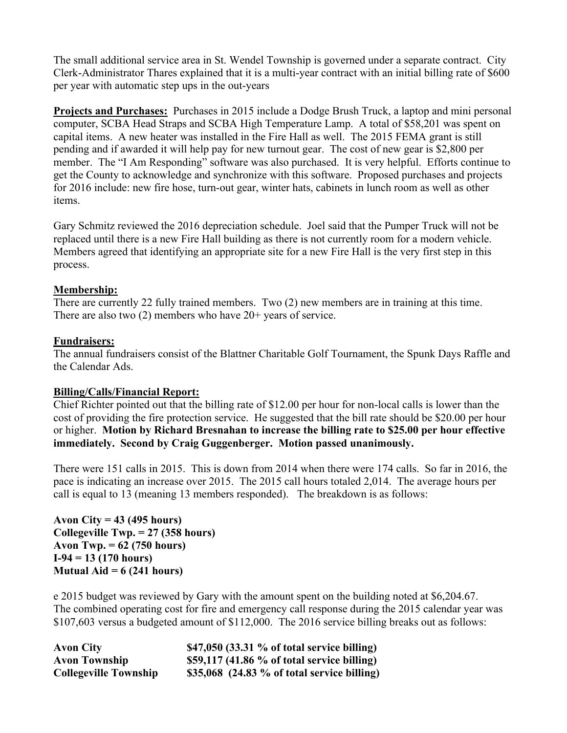The small additional service area in St. Wendel Township is governed under a separate contract. City Clerk-Administrator Thares explained that it is a multi-year contract with an initial billing rate of \$600 per year with automatic step ups in the out-years

**Projects and Purchases:** Purchases in 2015 include a Dodge Brush Truck, a laptop and mini personal computer, SCBA Head Straps and SCBA High Temperature Lamp. A total of \$58,201 was spent on capital items. A new heater was installed in the Fire Hall as well. The 2015 FEMA grant is still pending and if awarded it will help pay for new turnout gear. The cost of new gear is \$2,800 per member. The "I Am Responding" software was also purchased. It is very helpful. Efforts continue to get the County to acknowledge and synchronize with this software. Proposed purchases and projects for 2016 include: new fire hose, turn-out gear, winter hats, cabinets in lunch room as well as other items.

Gary Schmitz reviewed the 2016 depreciation schedule. Joel said that the Pumper Truck will not be replaced until there is a new Fire Hall building as there is not currently room for a modern vehicle. Members agreed that identifying an appropriate site for a new Fire Hall is the very first step in this process.

#### **Membership:**

There are currently 22 fully trained members. Two (2) new members are in training at this time. There are also two (2) members who have  $20+$  years of service.

#### **Fundraisers:**

The annual fundraisers consist of the Blattner Charitable Golf Tournament, the Spunk Days Raffle and the Calendar Ads.

## **Billing/Calls/Financial Report:**

Chief Richter pointed out that the billing rate of \$12.00 per hour for non-local calls is lower than the cost of providing the fire protection service. He suggested that the bill rate should be \$20.00 per hour or higher. **Motion by Richard Bresnahan to increase the billing rate to \$25.00 per hour effective immediately. Second by Craig Guggenberger. Motion passed unanimously.**

There were 151 calls in 2015. This is down from 2014 when there were 174 calls. So far in 2016, the pace is indicating an increase over 2015. The 2015 call hours totaled 2,014. The average hours per call is equal to 13 (meaning 13 members responded). The breakdown is as follows:

**Avon City = 43 (495 hours) Collegeville Twp. = 27 (358 hours) Avon Twp. = 62 (750 hours) I-94 = 13 (170 hours) Mutual Aid = 6 (241 hours)**

e 2015 budget was reviewed by Gary with the amount spent on the building noted at \$6,204.67. The combined operating cost for fire and emergency call response during the 2015 calendar year was \$107,603 versus a budgeted amount of \$112,000. The 2016 service billing breaks out as follows:

| <b>Avon City</b>             | \$47,050 (33.31 % of total service billing)    |
|------------------------------|------------------------------------------------|
| <b>Avon Township</b>         | $$59,117$ (41.86 % of total service billing)   |
| <b>Collegeville Township</b> | $$35,068$ $(24.83\%$ of total service billing) |